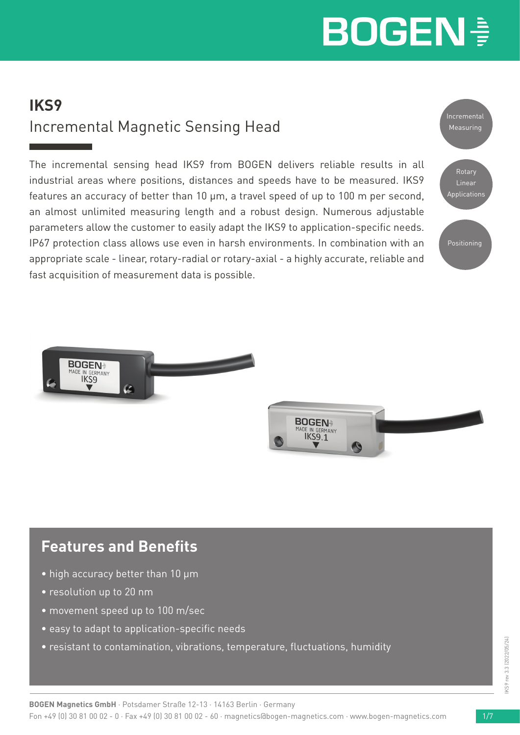# **BOGEN -**

### **IKS9** Incremental Magnetic Sensing Head

The incremental sensing head IKS9 from BOGEN delivers reliable results in all industrial areas where positions, distances and speeds have to be measured. IKS9 features an accuracy of better than 10 µm, a travel speed of up to 100 m per second, an almost unlimited measuring length and a robust design. Numerous adjustable parameters allow the customer to easily adapt the IKS9 to application-specific needs. IP67 protection class allows use even in harsh environments. In combination with an appropriate scale - linear, rotary-radial or rotary-axial - a highly accurate, reliable and fast acquisition of measurement data is possible.







### **Features and Benefits**

- high accuracy better than 10 µm
- resolution up to 20 nm
- movement speed up to 100 m/sec
- easy to adapt to application-specific needs
- resistant to contamination, vibrations, temperature, fluctuations, humidity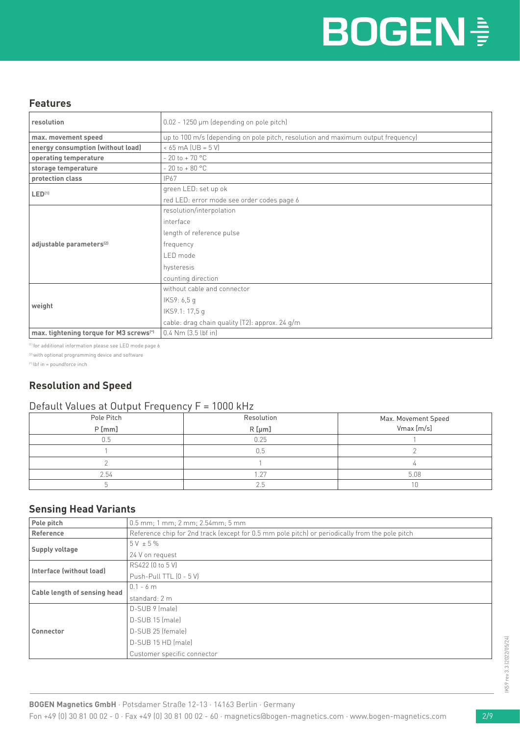#### **Features**

| resolution                                          | $0.02 - 1250 \mu m$ (depending on pole pitch)                                    |  |  |
|-----------------------------------------------------|----------------------------------------------------------------------------------|--|--|
| max. movement speed                                 | up to 100 m/s (depending on pole pitch, resolution and maximum output frequency) |  |  |
| energy consumption (without load)                   | $< 65 \text{ mA}$ (UB = $5 \text{ V}$ )                                          |  |  |
| operating temperature                               | $-20$ to $+70$ °C                                                                |  |  |
| storage temperature                                 | $-20$ to $+80$ °C                                                                |  |  |
| protection class                                    | IP67                                                                             |  |  |
| LED <sup>(1)</sup>                                  | green LED: set up ok                                                             |  |  |
|                                                     | red LED: error mode see order codes page 6                                       |  |  |
|                                                     | resolution/interpolation                                                         |  |  |
|                                                     | interface                                                                        |  |  |
|                                                     | length of reference pulse                                                        |  |  |
| adjustable parameters <sup>(2)</sup>                | frequency                                                                        |  |  |
|                                                     | LED mode                                                                         |  |  |
|                                                     | hysteresis                                                                       |  |  |
|                                                     | counting direction                                                               |  |  |
|                                                     | without cable and connector                                                      |  |  |
|                                                     | IKS9: 6,5 g                                                                      |  |  |
| weight                                              | IKS9.1: 17,5 g                                                                   |  |  |
|                                                     | cable: drag chain quality (T2): approx. 24 g/m                                   |  |  |
| max. tightening torque for M3 screws <sup>(*)</sup> | $0.4$ Nm $(3.5$ lbf in]                                                          |  |  |

(1) for additional information please see LED mode page 6

<sup>(2)</sup> with optional programming device and software

(\*) lbf in = poundforce inch

### **Resolution and Speed**

#### Default Values at Output Frequency F = 1000 kHz

| Pole Pitch | Resolution | Max. Movement Speed |
|------------|------------|---------------------|
| $P$ [mm]   | $R$ [µm]   | Vmax [m/s]          |
| 0.5        | 0.25       |                     |
|            | 0.5        |                     |
|            |            |                     |
| 2.54       | $\cap$     | 5.08                |
|            | 2.5        | 1 Ր                 |

#### **Sensing Head Variants**

| Pole pitch                   | $0.5$ mm; 1 mm; 2 mm; 2.54mm; 5 mm                                                              |  |  |
|------------------------------|-------------------------------------------------------------------------------------------------|--|--|
| Reference                    | Reference chip for 2nd track (except for 0.5 mm pole pitch) or periodically from the pole pitch |  |  |
| Supply voltage               | $5V + 5\%$                                                                                      |  |  |
|                              | 24 V on request                                                                                 |  |  |
| Interface (without load)     | RS422 (0 to 5 V)                                                                                |  |  |
|                              | Push-Pull TTL (0 - 5 V)                                                                         |  |  |
| Cable length of sensing head | $0.1 - 6$ m                                                                                     |  |  |
|                              | standard: 2 m                                                                                   |  |  |
|                              | D-SUB 9 (male)                                                                                  |  |  |
|                              | D-SUB 15 (male)                                                                                 |  |  |
| Connector                    | D-SUB 25 (female)                                                                               |  |  |
|                              | D-SUB 15 HD (male)                                                                              |  |  |
|                              | Customer specific connector                                                                     |  |  |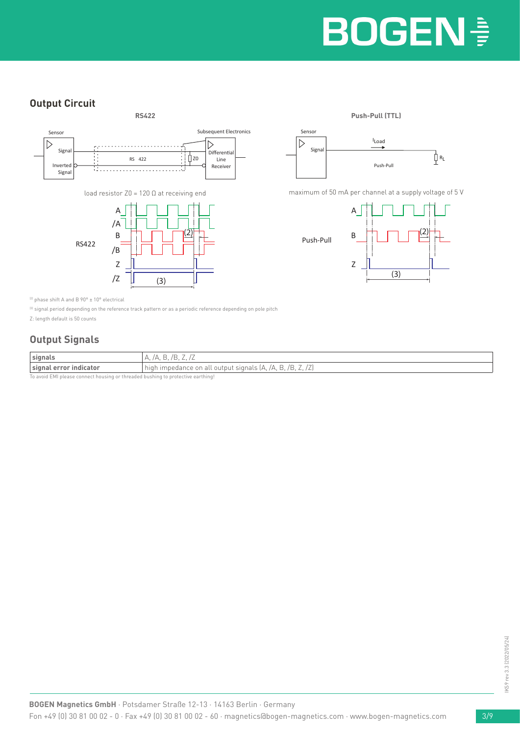### **Output Circuit**





maximum of 50 mA per channel at a supply voltage of 5 V



<sup>(2)</sup> phase shift A and B  $90^{\circ}$  ±  $10^{\circ}$  electrical

<sup>(3)</sup> signal period depending on the reference track pattern or as a periodic reference depending on pole pitch

Z: length default is 50 counts

### **Output Signals**

| signals                | $-\cdot$ / $-$<br>$\overline{\phantom{a}}$                                                                          |  |  |
|------------------------|---------------------------------------------------------------------------------------------------------------------|--|--|
| signal error indicator | high impedance on all output signals (A, /A, )<br>/ H<br>Н.<br>$-$<br>$\overline{\phantom{a}}$<br>$\sim$ , $\sim$ , |  |  |
|                        |                                                                                                                     |  |  |

avoid EMI please connect housing or threaded bushing to protective earthing!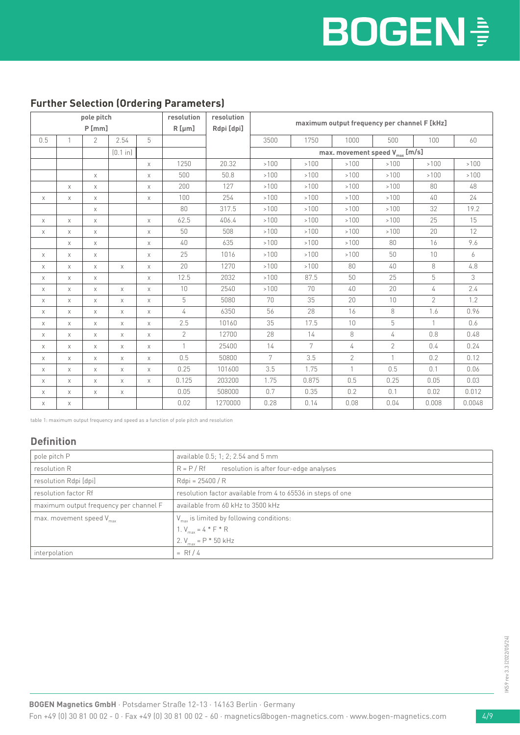#### **Further Selection (Ordering Parameters)**

| pole pitch  |             |                | resolution | resolution  |              |            |                                              |       |                                            |                |                |        |
|-------------|-------------|----------------|------------|-------------|--------------|------------|----------------------------------------------|-------|--------------------------------------------|----------------|----------------|--------|
|             |             | P[mm]          |            |             | $R$ [µm]     | Rdpi [dpi] | maximum output frequency per channel F [kHz] |       |                                            |                |                |        |
| 0.5         | 1           | $\overline{2}$ | 2.54       | 5           |              |            | 3500                                         | 1750  | 1000                                       | 500            | 100            | 60     |
|             |             |                | [0.1 in]   |             |              |            |                                              |       | max. movement speed $V_{\text{max}}$ [m/s] |                |                |        |
|             |             |                |            | $\times$    | 1250         | 20.32      | >100                                         | >100  | >100                                       | >100           | >100           | >100   |
|             |             | $\mathsf X$    |            | X           | 500          | 50.8       | >100                                         | >100  | >100                                       | >100           | >100           | >100   |
|             | $\times$    | $\mathsf X$    |            | X           | 200          | 127        | >100                                         | >100  | >100                                       | >100           | 80             | 48     |
| $\mathsf X$ | $\mathsf X$ | $\mathsf X$    |            | $\times$    | 100          | 254        | >100                                         | >100  | >100                                       | >100           | 40             | $24\,$ |
|             |             | $\mathsf X$    |            |             | 80           | 317.5      | >100                                         | >100  | >100                                       | >100           | 32             | 19.2   |
| Χ           | $\times$    | $\mathsf X$    |            | $\times$    | 62.5         | 406.4      | >100                                         | >100  | >100                                       | >100           | 25             | 15     |
| X           | X           | Χ              |            | X           | 50           | 508        | >100                                         | >100  | >100                                       | >100           | 20             | 12     |
|             | X           | $\mathsf X$    |            | X           | 40           | 635        | >100                                         | >100  | >100                                       | 80             | 16             | 9.6    |
| X           | X           | $\times$       |            | $\times$    | 25           | 1016       | >100                                         | >100  | >100                                       | 50             | 10             | 6      |
| X           | Χ           | Χ              | $\chi$     | $\times$    | 20           | 1270       | >100                                         | >100  | 80                                         | 40             | $\,8\,$        | 4.8    |
| X           | X           | $\times$       |            | $\times$    | 12.5         | 2032       | >100                                         | 87.5  | 50                                         | 25             | 5              | 3      |
| X           | X           | X              | $\times$   | $\times$    | 10           | 2540       | >100                                         | 70    | 40                                         | 20             | 4              | 2.4    |
| $\mathsf X$ | $\mathsf X$ | $\mathsf X$    | $\times$   | $\times$    | 5            | 5080       | 70                                           | 35    | 20                                         | 10             | $\overline{2}$ | 1.2    |
| X           | X           | $\chi$         | $\times$   | $\times$    | 4            | 6350       | 56                                           | 28    | 16                                         | 8              | 1.6            | 0.96   |
| X           | X           | X              | $\times$   | X           | 2.5          | 10160      | 35                                           | 17.5  | 10                                         | 5              | 1              | 0.6    |
| X           | $\mathsf X$ | $\mathsf X$    | X          | $\times$    | $\mathbf{2}$ | 12700      | 28                                           | 14    | 8                                          | 4              | 0.8            | 0.48   |
| X           | X           | X              | X          | $\times$    |              | 25400      | 14                                           | 7     | 4                                          | $\overline{2}$ | 0.4            | 0.24   |
| X           | X           | $\times$       | $\times$   | $\times$    | 0.5          | 50800      | $7\overline{ }$                              | 3.5   | $\overline{2}$                             | $\mathbf{1}$   | 0.2            | 0.12   |
| X           | X           | X              | X          | X           | 0.25         | 101600     | 3.5                                          | 1.75  | $\mathbf{1}$                               | 0.5            | 0.1            | 0.06   |
| X           | X           | $\times$       | $\times$   | $\mathsf X$ | 0.125        | 203200     | 1.75                                         | 0.875 | 0.5                                        | 0.25           | 0.05           | 0.03   |
| X           | X           | $\times$       | $\times$   |             | 0.05         | 508000     | 0.7                                          | 0.35  | 0.2                                        | 0.1            | 0.02           | 0.012  |
| X           | X           |                |            |             | 0.02         | 1270000    | 0.28                                         | 0.14  | 0.08                                       | 0.04           | 0.008          | 0.0048 |

table 1: maximum output frequency and speed as a function of pole pitch and resolution

#### **Definition**

| pole pitch P                           | available 0.5; 1; 2; 2.54 and 5 mm                          |  |  |
|----------------------------------------|-------------------------------------------------------------|--|--|
| resolution R                           | resolution is after four-edge analyses<br>$R = P / Rf$      |  |  |
| resolution Rdpi [dpi]                  | Rdpi = 25400 / R                                            |  |  |
| resolution factor Rf                   | resolution factor available from 4 to 65536 in steps of one |  |  |
| maximum output frequency per channel F | available from 60 kHz to 3500 kHz                           |  |  |
| max. movement speed V <sub>max</sub>   | $V_{\text{max}}$ is limited by following conditions:        |  |  |
|                                        | 1. $V_{max} = 4 * F * R$                                    |  |  |
|                                        | 2. $V_{\text{max}} = P * 50$ kHz                            |  |  |
| interpolation                          | $=$ Rf / 4                                                  |  |  |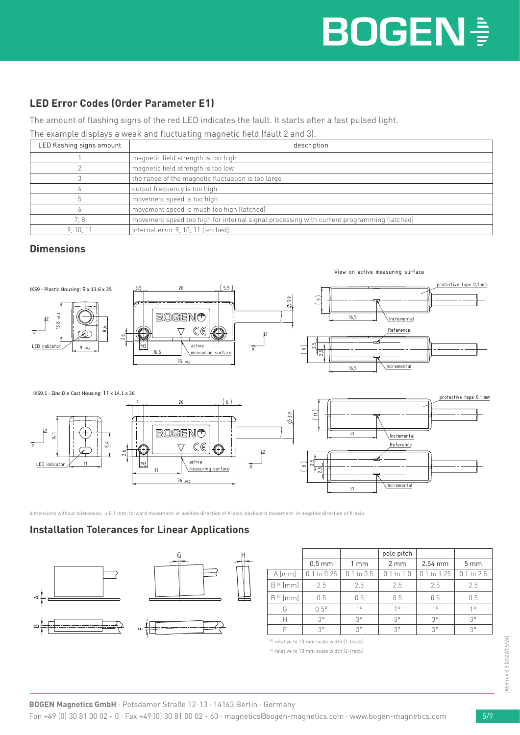### **LED Error Codes (Order Parameter E1)**

The amount of flashing signs of the red LED indicates the fault. It starts after a fast pulsed light.

The example displays a weak and fluctuating magnetic field (fault 2 and 3).

| LED flashing signs amount | description                                                                               |
|---------------------------|-------------------------------------------------------------------------------------------|
|                           | magnetic field strength is too high                                                       |
|                           | magnetic field strength is too low                                                        |
|                           | the range of the magnetic fluctuation is too large                                        |
|                           | output frequency is too high                                                              |
|                           | movement speed is too high                                                                |
|                           | movement speed is much too high (latched)                                                 |
| 7.8                       | movement speed too high for internal signal processing with current programming (latched) |
| 9.10.11                   | internal error 9, 10, 11 (latched)                                                        |

#### **Dimensions**



dimensions without tolerances: ± 0.1 mm; forward movement: in positive direction of X-axis; backward movement: in negative direction of X-axis.

### **Installation Tolerances for Linear Applications**



|               |                 |                | pole pitch       |                 |                 |
|---------------|-----------------|----------------|------------------|-----------------|-----------------|
|               | $0.5$ mm        | 1 mm           | $2 \, \text{mm}$ | $2.54$ mm       | 5 <sub>mm</sub> |
| $A$ [mm]      | $0.1$ to $0.25$ | $0.1$ to $0.5$ | $0.1$ to $1.0$   | $0.1$ to $1.25$ | $0.1$ to $2.5$  |
| $B^{[4]}[mm]$ | 2.5             | 2.5            | 2.5              | 2.5             | 2.5             |
| $B^{[5]}[mm]$ | 0.5             | 0.5            | 0.5              | 0.5             | 0.5             |
| G             | $0.5^\circ$     | $1^{\circ}$    | $1^{\circ}$      | $1^{\circ}$     | 10              |
| Н             | $3^{\circ}$     | $3^{\circ}$    | $3^{\circ}$      | $3^{\circ}$     | $3^{\circ}$     |
| F             | $3^{\circ}$     | $3^{\circ}$    | $3^{\circ}$      | 3°              | $3^{\circ}$     |

(4) relative to 10 mm scale width (1-track)

<sup>(5)</sup> relative to 10 mm scale width (2-track)

H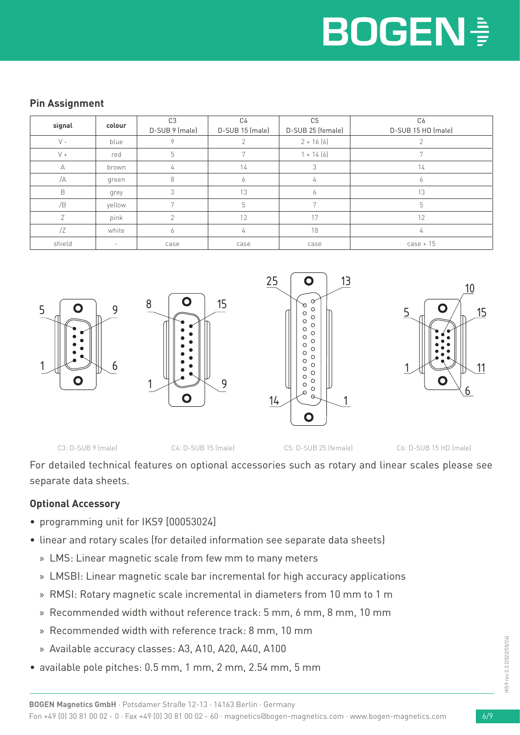#### **Pin Assignment**

| signal | colour | C <sub>3</sub><br>D-SUB 9 (male) | C4<br>D-SUB 15 (male) | C <sub>5</sub><br>D-SUB 25 (female) | C <sub>6</sub><br>D-SUB 15 HD (male) |
|--------|--------|----------------------------------|-----------------------|-------------------------------------|--------------------------------------|
| $V -$  | blue   |                                  |                       | $2 + 16(6)$                         |                                      |
| $V +$  | red    | 5                                |                       | $1 + 14(6)$                         |                                      |
| А      | brown  |                                  | 14                    | 3                                   | 14                                   |
| /A     | green  | 8                                | 6                     | 4                                   | <sup>6</sup>                         |
| B      | grey   |                                  | 13                    | Ō                                   | 13                                   |
| /B     | yellow |                                  | 5                     | 7                                   | 5                                    |
|        | pink   |                                  | 12                    | 17                                  | 12                                   |
| /2     | white  | 6                                | 4                     | 18                                  | 4                                    |
| shield |        | case                             | case                  | case                                | $case + 15$                          |



For detailed technical features on optional accessories such as rotary and linear scales please see separate data sheets.

### **Optional Accessory**

- programming unit for IKS9 [00053024]
- linear and rotary scales (for detailed information see separate data sheets)
	- » LMS: Linear magnetic scale from few mm to many meters
	- » LMSBI: Linear magnetic scale bar incremental for high accuracy applications
	- » RMSI: Rotary magnetic scale incremental in diameters from 10 mm to 1 m
	- » Recommended width without reference track: 5 mm, 6 mm, 8 mm, 10 mm
	- » Recommended width with reference track: 8 mm, 10 mm
	- » Available accuracy classes: A3, A10, A20, A40, A100
- available pole pitches: 0.5 mm, 1 mm, 2 mm, 2.54 mm, 5 mm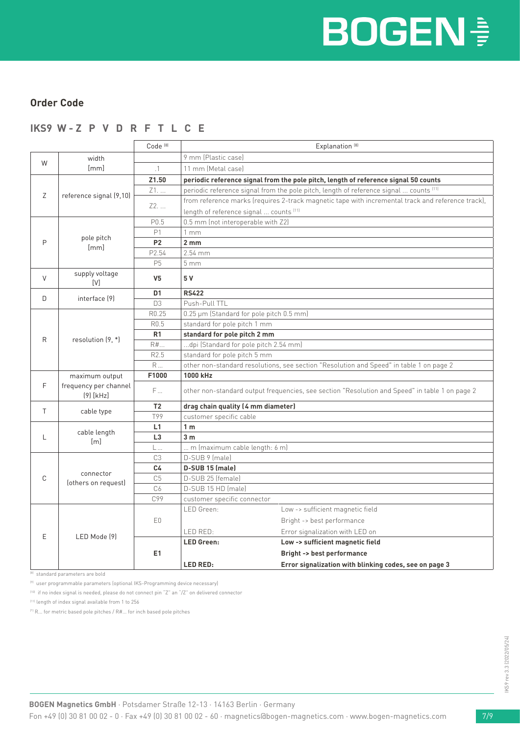#### **Order Code**

### **IKS9 W - Z P V D R F T L C E**

|    |                                      | Code <sup>[8]</sup> | Explanation <sup>[8]</sup>                                                                        |  |  |  |
|----|--------------------------------------|---------------------|---------------------------------------------------------------------------------------------------|--|--|--|
|    | width                                |                     | 9 mm (Plastic case)                                                                               |  |  |  |
| W  | [mm]                                 | .1                  | 11 mm (Metal case)                                                                                |  |  |  |
|    |                                      | Z1.50               | periodic reference signal from the pole pitch, length of reference signal 50 counts               |  |  |  |
|    |                                      | Z1.                 | periodic reference signal from the pole pitch, length of reference signal  counts [11]            |  |  |  |
| Ζ  | reference signal (9,10)              |                     | from reference marks (requires 2-track magnetic tape with incremental track and reference track), |  |  |  |
|    |                                      | Z2.                 | length of reference signal  counts [11]                                                           |  |  |  |
|    |                                      | P <sub>0.5</sub>    | 0.5 mm (not interoperable with Z2)                                                                |  |  |  |
|    |                                      | P1                  | 1mm                                                                                               |  |  |  |
| P  | pole pitch<br>[mm]                   | <b>P2</b>           | 2 <sub>mm</sub>                                                                                   |  |  |  |
|    |                                      | P2.54               | $2.54$ mm                                                                                         |  |  |  |
|    |                                      | P <sub>5</sub>      | $5 \, \text{mm}$                                                                                  |  |  |  |
| V  | supply voltage<br>[V]                | V <sub>5</sub>      | 5 V                                                                                               |  |  |  |
| D  |                                      | D <sub>1</sub>      | <b>RS422</b>                                                                                      |  |  |  |
|    | interface [9]                        | D <sub>3</sub>      | Push-Pull TTL                                                                                     |  |  |  |
|    |                                      | R0.25               | 0.25 µm (Standard for pole pitch 0.5 mm)                                                          |  |  |  |
|    |                                      | R <sub>0.5</sub>    | standard for pole pitch 1 mm                                                                      |  |  |  |
| R  | resolution $(9, *)$                  | R1                  | standard for pole pitch 2 mm                                                                      |  |  |  |
|    |                                      | R#                  | dpi (Standard for pole pitch 2.54 mm)                                                             |  |  |  |
|    |                                      | R2.5                | standard for pole pitch 5 mm                                                                      |  |  |  |
|    |                                      | R                   | other non-standard resolutions, see section "Resolution and Speed" in table 1 on page 2           |  |  |  |
|    | maximum output                       | F1000               | 1000 kHz                                                                                          |  |  |  |
| F  | frequency per channel<br>$(9)$ [kHz] | F                   | other non-standard output frequencies, see section "Resolution and Speed" in table 1 on page 2    |  |  |  |
| T. | cable type                           | T <sub>2</sub>      | drag chain quality (4 mm diameter)                                                                |  |  |  |
|    |                                      | T99                 | customer specific cable                                                                           |  |  |  |
|    |                                      | L1                  | 1 <sub>m</sub>                                                                                    |  |  |  |
| L  | cable length                         |                     | 3 <sub>m</sub>                                                                                    |  |  |  |
|    |                                      | L3                  |                                                                                                   |  |  |  |
|    | [m]                                  | $L_{\cdots}$        | m (maximum cable length: 6 m)                                                                     |  |  |  |
|    |                                      | C <sub>3</sub>      | D-SUB 9 (male)                                                                                    |  |  |  |
|    |                                      | C4                  | D-SUB 15 (male)                                                                                   |  |  |  |
| C  | connector                            | C <sub>5</sub>      | D-SUB 25 (female)                                                                                 |  |  |  |
|    | (others on request)                  | C6                  | D-SUB 15 HD (male)                                                                                |  |  |  |
|    |                                      | C99                 | customer specific connector                                                                       |  |  |  |
|    |                                      |                     | LED Green:<br>Low -> sufficient magnetic field                                                    |  |  |  |
|    |                                      | E <sub>0</sub>      | Bright -> best performance                                                                        |  |  |  |
|    |                                      |                     | LED RED:<br>Error signalization with LED on                                                       |  |  |  |
| E  | LED Mode [9]                         |                     | <b>LED Green:</b><br>Low -> sufficient magnetic field                                             |  |  |  |
|    |                                      | E1                  | <b>Bright -&gt; best performance</b>                                                              |  |  |  |

(8) standard parameters are bold

(9) user programmable parameters (optional IKS-Programming device necessary)

(10) if no index signal is needed, please do not connect pin "Z" an "/Z" on delivered connector

(11) length of index signal available from 1 to 256

(\*) R... for metric based pole pitches / R#... for inch based pole pitches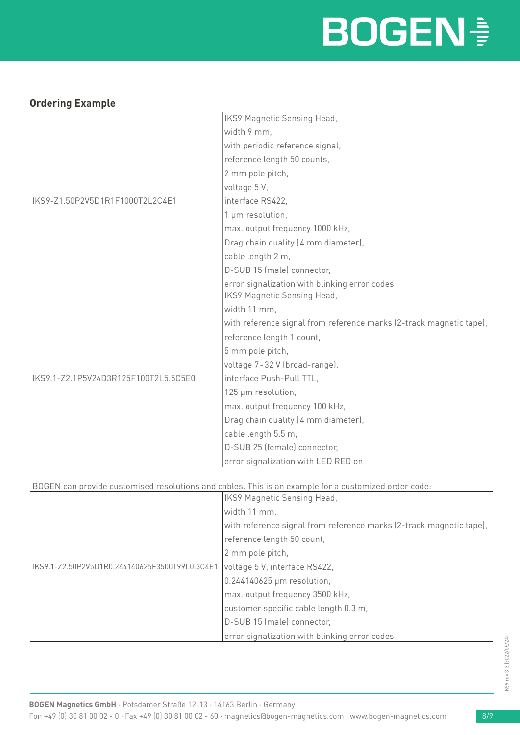# **BOGEN<sup>®</sup>**

#### **Ordering Example**

|                                      | IKS9 Magnetic Sensing Head,                                         |
|--------------------------------------|---------------------------------------------------------------------|
|                                      | width 9 mm,                                                         |
|                                      | with periodic reference signal,                                     |
|                                      | reference length 50 counts,                                         |
|                                      | 2 mm pole pitch,                                                    |
|                                      | voltage 5V,                                                         |
| IKS9-Z1.50P2V5D1R1F1000T2L2C4E1      | interface RS422,                                                    |
|                                      | 1 µm resolution,                                                    |
|                                      | max. output frequency 1000 kHz,                                     |
|                                      | Drag chain quality (4 mm diameter),                                 |
|                                      | cable length 2 m,                                                   |
|                                      | D-SUB 15 (male) connector,                                          |
|                                      | error signalization with blinking error codes                       |
|                                      | IKS9 Magnetic Sensing Head,                                         |
|                                      | width 11 mm,                                                        |
|                                      | with reference signal from reference marks (2-track magnetic tape), |
|                                      | reference length 1 count,                                           |
|                                      | 5 mm pole pitch,                                                    |
|                                      | voltage 7-32 V (broad-range),                                       |
| IKS9.1-Z2.1P5V24D3R125F100T2L5.5C5E0 | interface Push-Pull TTL,                                            |
|                                      | 125 µm resolution,                                                  |
|                                      | max. output frequency 100 kHz,                                      |
|                                      | Drag chain quality (4 mm diameter),                                 |
|                                      | cable length 5.5 m,                                                 |
|                                      | D-SUB 25 (female) connector,                                        |
|                                      | error signalization with LED RED on                                 |

#### BOGEN can provide customised resolutions and cables. This is an example for a customized order code:

|                                                | IKS9 Magnetic Sensing Head,                                         |
|------------------------------------------------|---------------------------------------------------------------------|
|                                                | width 11 mm,                                                        |
|                                                | with reference signal from reference marks (2-track magnetic tape), |
|                                                | reference length 50 count,                                          |
|                                                | 2 mm pole pitch,                                                    |
| IKS9.1-Z2.50P2V5D1R0.244140625F3500T99L0.3C4E1 | voltage 5 V, interface RS422,                                       |
|                                                | 0.244140625 µm resolution,                                          |
|                                                | max. output frequency 3500 kHz,                                     |
|                                                | customer specific cable length 0.3 m,                               |
|                                                | D-SUB 15 (male) connector,                                          |
|                                                | error signalization with blinking error codes                       |